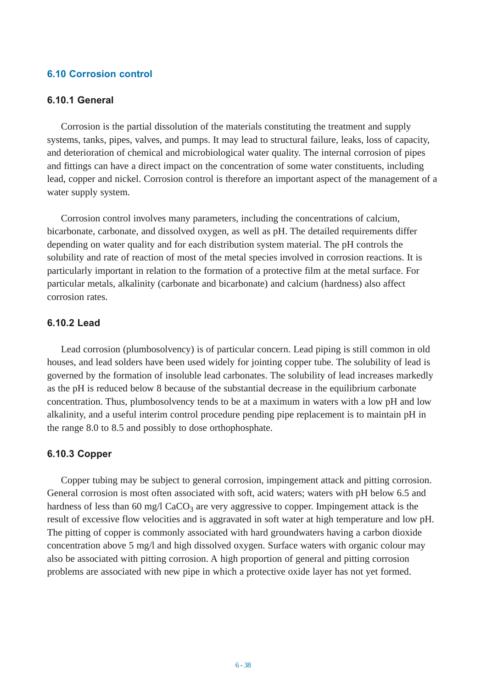# **6.10 Corrosion control**

# **6.10.1 General**

Corrosion is the partial dissolution of the materials constituting the treatment and supply systems, tanks, pipes, valves, and pumps. It may lead to structural failure, leaks, loss of capacity, and deterioration of chemical and microbiological water quality. The internal corrosion of pipes and fittings can have a direct impact on the concentration of some water constituents, including lead, copper and nickel. Corrosion control is therefore an important aspect of the management of a water supply system.

Corrosion control involves many parameters, including the concentrations of calcium, bicarbonate, carbonate, and dissolved oxygen, as well as pH. The detailed requirements differ depending on water quality and for each distribution system material. The pH controls the solubility and rate of reaction of most of the metal species involved in corrosion reactions. It is particularly important in relation to the formation of a protective film at the metal surface. For particular metals, alkalinity (carbonate and bicarbonate) and calcium (hardness) also affect corrosion rates.

# **6.10.2 Lead**

Lead corrosion (plumbosolvency) is of particular concern. Lead piping is still common in old houses, and lead solders have been used widely for jointing copper tube. The solubility of lead is governed by the formation of insoluble lead carbonates. The solubility of lead increases markedly as the pH is reduced below 8 because of the substantial decrease in the equilibrium carbonate concentration. Thus, plumbosolvency tends to be at a maximum in waters with a low pH and low alkalinity, and a useful interim control procedure pending pipe replacement is to maintain pH in the range 8.0 to 8.5 and possibly to dose orthophosphate.

#### **6.10.3 Copper**

Copper tubing may be subject to general corrosion, impingement attack and pitting corrosion. General corrosion is most often associated with soft, acid waters; waters with pH below 6.5 and hardness of less than 60 mg/l  $CaCO<sub>3</sub>$  are very aggressive to copper. Impingement attack is the result of excessive flow velocities and is aggravated in soft water at high temperature and low pH. The pitting of copper is commonly associated with hard groundwaters having a carbon dioxide concentration above 5 mg/l and high dissolved oxygen. Surface waters with organic colour may also be associated with pitting corrosion. A high proportion of general and pitting corrosion problems are associated with new pipe in which a protective oxide layer has not yet formed.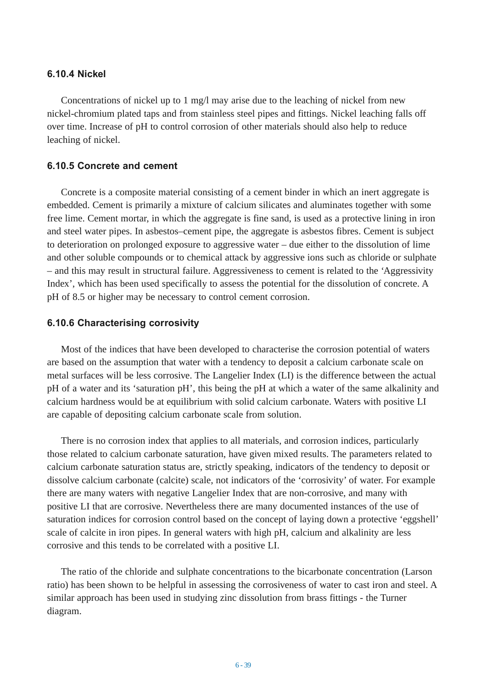### **6.10.4 Nickel**

Concentrations of nickel up to 1 mg/l may arise due to the leaching of nickel from new nickel-chromium plated taps and from stainless steel pipes and fittings. Nickel leaching falls off over time. Increase of pH to control corrosion of other materials should also help to reduce leaching of nickel.

# **6.10.5 Concrete and cement**

Concrete is a composite material consisting of a cement binder in which an inert aggregate is embedded. Cement is primarily a mixture of calcium silicates and aluminates together with some free lime. Cement mortar, in which the aggregate is fine sand, is used as a protective lining in iron and steel water pipes. In asbestos–cement pipe, the aggregate is asbestos fibres. Cement is subject to deterioration on prolonged exposure to aggressive water – due either to the dissolution of lime and other soluble compounds or to chemical attack by aggressive ions such as chloride or sulphate – and this may result in structural failure. Aggressiveness to cement is related to the 'Aggressivity Index', which has been used specifically to assess the potential for the dissolution of concrete. A pH of 8.5 or higher may be necessary to control cement corrosion.

#### **6.10.6 Characterising corrosivity**

Most of the indices that have been developed to characterise the corrosion potential of waters are based on the assumption that water with a tendency to deposit a calcium carbonate scale on metal surfaces will be less corrosive. The Langelier Index (LI) is the difference between the actual pH of a water and its 'saturation pH', this being the pH at which a water of the same alkalinity and calcium hardness would be at equilibrium with solid calcium carbonate. Waters with positive LI are capable of depositing calcium carbonate scale from solution.

There is no corrosion index that applies to all materials, and corrosion indices, particularly those related to calcium carbonate saturation, have given mixed results. The parameters related to calcium carbonate saturation status are, strictly speaking, indicators of the tendency to deposit or dissolve calcium carbonate (calcite) scale, not indicators of the 'corrosivity' of water. For example there are many waters with negative Langelier Index that are non-corrosive, and many with positive LI that are corrosive. Nevertheless there are many documented instances of the use of saturation indices for corrosion control based on the concept of laying down a protective 'eggshell' scale of calcite in iron pipes. In general waters with high pH, calcium and alkalinity are less corrosive and this tends to be correlated with a positive LI.

The ratio of the chloride and sulphate concentrations to the bicarbonate concentration (Larson ratio) has been shown to be helpful in assessing the corrosiveness of water to cast iron and steel. A similar approach has been used in studying zinc dissolution from brass fittings - the Turner diagram.